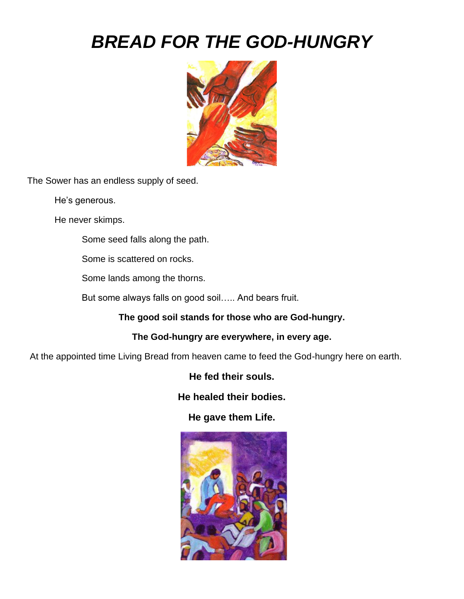## *BREAD FOR THE GOD-HUNGRY*



The Sower has an endless supply of seed.

He's generous.

He never skimps.

Some seed falls along the path.

Some is scattered on rocks.

Some lands among the thorns.

But some always falls on good soil….. And bears fruit.

**The good soil stands for those who are God-hungry.**

**The God-hungry are everywhere, in every age.**

At the appointed time Living Bread from heaven came to feed the God-hungry here on earth.

**He fed their souls.**

**He healed their bodies.**

**He gave them Life.** 

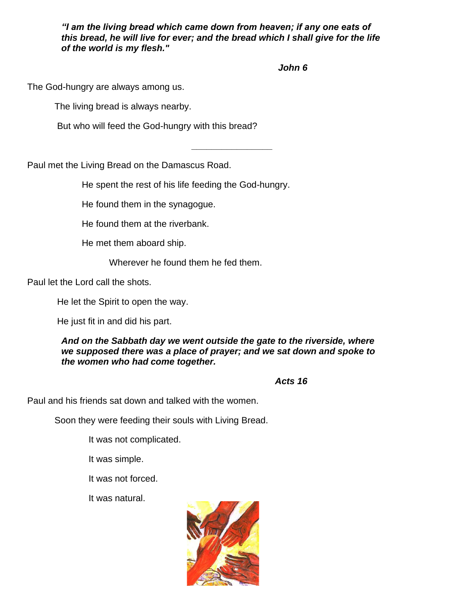*"I am the living bread which came down from heaven; if any one eats of this bread, he will live for ever; and the bread which I shall give for the life of the world is my flesh."*

**\_\_\_\_\_\_\_\_\_\_\_\_\_\_\_\_**

*John 6*

The God-hungry are always among us.

The living bread is always nearby.

But who will feed the God-hungry with this bread?

Paul met the Living Bread on the Damascus Road.

He spent the rest of his life feeding the God-hungry.

He found them in the synagogue.

He found them at the riverbank.

He met them aboard ship.

Wherever he found them he fed them.

Paul let the Lord call the shots.

He let the Spirit to open the way.

He just fit in and did his part.

*And on the Sabbath day we went outside the gate to the riverside, where we supposed there was a place of prayer; and we sat down and spoke to the women who had come together.* 

*Acts 16*

Paul and his friends sat down and talked with the women.

Soon they were feeding their souls with Living Bread.

It was not complicated.

It was simple.

It was not forced.

It was natural.

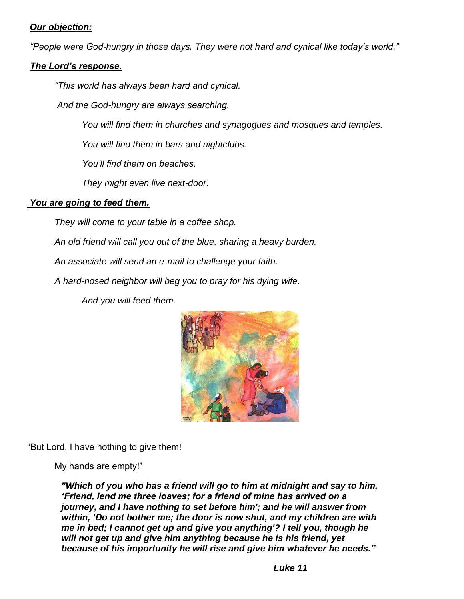## *Our objection:*

*"People were God-hungry in those days. They were not hard and cynical like today's world."*

## *The Lord's response.*

*"This world has always been hard and cynical.* 

*And the God-hungry are always searching.*

*You will find them in churches and synagogues and mosques and temples.*

*You will find them in bars and nightclubs.*

*You'll find them on beaches.*

*They might even live next-door.*

## *You are going to feed them.*

*They will come to your table in a coffee shop.*

*An old friend will call you out of the blue, sharing a heavy burden.*

*An associate will send an e-mail to challenge your faith.*

*A hard-nosed neighbor will beg you to pray for his dying wife.*

 *And you will feed them.*



"But Lord, I have nothing to give them!

My hands are empty!"

*"Which of you who has a friend will go to him at midnight and say to him, 'Friend, lend me three loaves; for a friend of mine has arrived on a journey, and I have nothing to set before him'; and he will answer from within, 'Do not bother me; the door is now shut, and my children are with me in bed; I cannot get up and give you anything'? I tell you, though he will not get up and give him anything because he is his friend, yet because of his importunity he will rise and give him whatever he needs."*